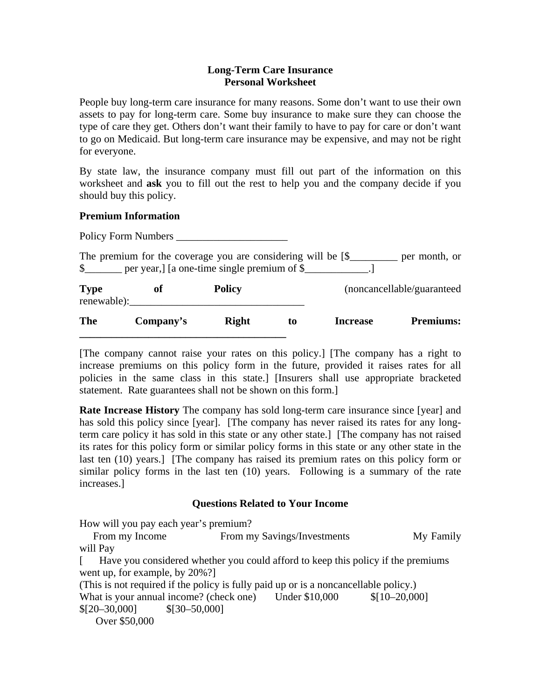### **Long-Term Care Insurance Personal Worksheet**

People buy long-term care insurance for many reasons. Some don't want to use their own assets to pay for long-term care. Some buy insurance to make sure they can choose the type of care they get. Others don't want their family to have to pay for care or don't want to go on Medicaid. But long-term care insurance may be expensive, and may not be right for everyone.

By state law, the insurance company must fill out part of the information on this worksheet and **ask** you to fill out the rest to help you and the company decide if you should buy this policy.

## **Premium Information**

Policy Form Numbers

The premium for the coverage you are considering will be [\$\_\_\_\_\_\_\_\_\_ per month, or \$ \_\_\_\_\_\_ per year,] [a one-time single premium of \$ \_\_\_\_\_\_\_\_\_\_\_.] **Type of Policy Concellable/guaranteed of Policy** renewable): **The Company's Right to Increase Premiums: \_\_\_\_\_\_\_\_\_\_\_\_\_\_\_\_\_\_\_\_\_\_\_\_\_\_\_\_\_\_\_\_\_\_\_\_\_\_\_** 

[The company cannot raise your rates on this policy.] [The company has a right to increase premiums on this policy form in the future, provided it raises rates for all policies in the same class in this state.] [Insurers shall use appropriate bracketed statement. Rate guarantees shall not be shown on this form.]

**Rate Increase History** The company has sold long-term care insurance since [year] and has sold this policy since [year]. [The company has never raised its rates for any longterm care policy it has sold in this state or any other state.] [The company has not raised its rates for this policy form or similar policy forms in this state or any other state in the last ten (10) years.] [The company has raised its premium rates on this policy form or similar policy forms in the last ten (10) years. Following is a summary of the rate increases.]

# **Questions Related to Your Income**

How will you pay each year's premium?

From my Income From my Savings/Investments My Family will Pay

[ Have you considered whether you could afford to keep this policy if the premiums went up, for example, by 20%?]

(This is not required if the policy is fully paid up or is a noncancellable policy.) What is your annual income? (check one) Under \$10,000 \$[10–20,000]  $$[20-30,000]$   $$[30-50,000]$ 

Over \$50,000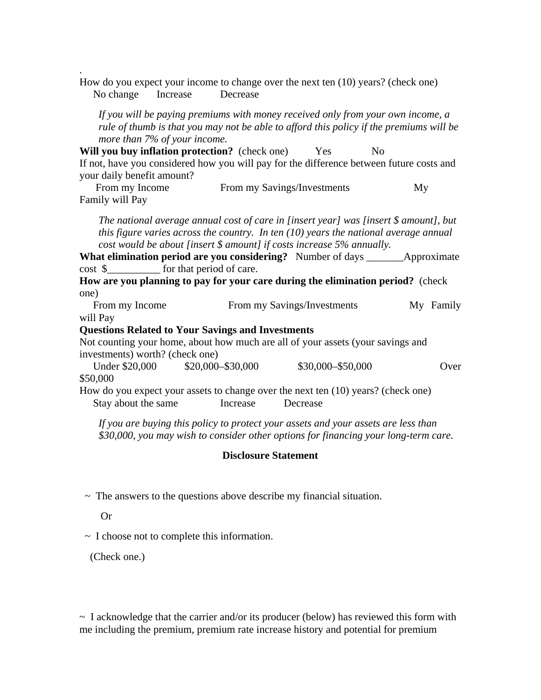How do you expect your income to change over the next ten (10) years? (check one) No change Increase Decrease

*If you will be paying premiums with money received only from your own income, a rule of thumb is that you may not be able to afford this policy if the premiums will be more than 7% of your income.* 

**Will you buy inflation protection?** (check one) Yes No If not, have you considered how you will pay for the difference between future costs and your daily benefit amount?

From my Income From my Savings/Investments My Family will Pay

*The national average annual cost of care in [insert year] was [insert \$ amount], but this figure varies across the country. In ten (10) years the national average annual cost would be about [insert \$ amount] if costs increase 5% annually.* 

**What elimination period are you considering?** Number of days \_\_\_\_\_\_\_Approximate cost \$ for that period of care.

**How are you planning to pay for your care during the elimination period?** (check one)

From my Income From my Savings/Investments My Family will Pay

### **Questions Related to Your Savings and Investments**

Not counting your home, about how much are all of your assets (your savings and investments) worth? (check one)

Under \$20,000 \$20,000 \$30,000 \$30,000 \$50,000 Over \$50,000 How do you expect your assets to change over the next ten (10) years? (check one)

Stay about the same **Increase Decrease** 

*If you are buying this policy to protect your assets and your assets are less than \$30,000, you may wish to consider other options for financing your long-term care.* 

#### **Disclosure Statement**

 $\sim$  The answers to the questions above describe my financial situation.

Or

.

 $\sim$  I choose not to complete this information.

(Check one.)

 $\sim$  I acknowledge that the carrier and/or its producer (below) has reviewed this form with me including the premium, premium rate increase history and potential for premium